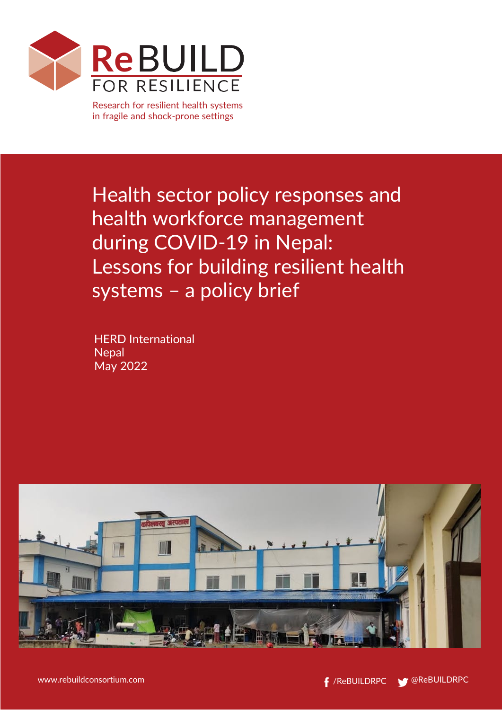

Research for resilient health systems in fragile and shock-prone settings

Health sector policy responses and health workforce management during COVID-19 in Nepal: Lessons for building resilient health systems – a policy brief

HERD International **Nepal** May 2022

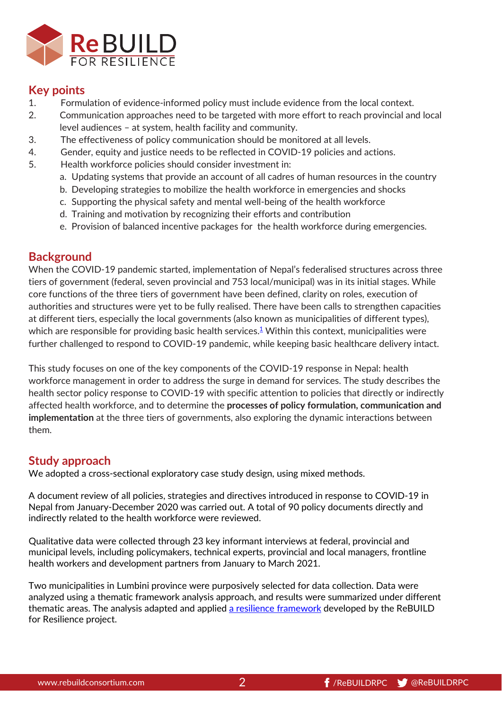

# **Key points**

- 1. Formulation of evidence-informed policy must include evidence from the local context.
- 2. Communication approaches need to be targeted with more effort to reach provincial and local level audiences – at system, health facility and community.
- 3. The effectiveness of policy communication should be monitored at all levels.
- 4. Gender, equity and justice needs to be reflected in COVID-19 policies and actions.
- 5. Health workforce policies should consider investment in:
	- a. Updating systems that provide an account of all cadres of human resources in the country
	- b. Developing strategies to mobilize the health workforce in emergencies and shocks
	- c. Supporting the physical safety and mental well-being of the health workforce
	- d. Training and motivation by recognizing their efforts and contribution
	- e. Provision of balanced incentive packages for the health workforce during emergencies.

# **Background**

When the COVID-19 pandemic started, implementation of Nepal's federalised structures across three tiers of government (federal, seven provincial and 753 local/municipal) was in its initial stages. While core functions of the three tiers of government have been defined, clarity on roles, execution of authorities and structures were yet to be fully realised. There have been calls to strengthen capacities at different tiers, especially the local governments (also known as municipalities of different types), which are responsible for providing basic health services.<sup>1</sup> Within this context, municipalities were further challenged to respond to COVID-19 pandemic, while keeping basic healthcare delivery intact.

This study focuses on one of the key components of the COVID-19 response in Nepal: health workforce management in order to address the surge in demand for services. The study describes the health sector policy response to COVID-19 with specific attention to policies that directly or indirectly affected health workforce, and to determine the **processes of policy formulation, communication and implementation** at the three tiers of governments, also exploring the dynamic interactions between them.

# **Study approach**

We adopted a cross-sectional exploratory case study design, using mixed methods.

A document review of all policies, strategies and directives introduced in response to COVID-19 in Nepal from January-December 2020 was carried out. A total of 90 policy documents directly and indirectly related to the health workforce were reviewed.

Qualitative data were collected through 23 key informant interviews at federal, provincial and municipal levels, including policymakers, technical experts, provincial and local managers, frontline health workers and development partners from January to March 2021.

Two municipalities in Lumbini province were purposively selected for data collection. Data were analyzed using a thematic framework analysis approach, and results were summarized under different thematic areas. The analysis adapted and applied [a resilience framework](https://www.rebuildconsortium.com/research-themes/resilience-framework-2/) developed by the ReBUILD for Resilience project.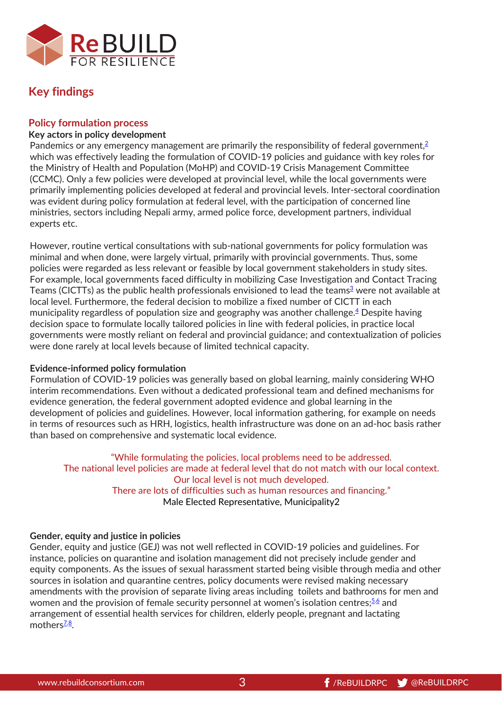

# **Key findings**

### **Policy formulation process**

#### **Key actors in policy development**

Pandemics or any emergency management are primarily the responsibility of federal government, $\frac{2}{3}$ which was effectively leading the formulation of COVID-19 policies and guidance with key roles for the Ministry of Health and Population (MoHP) and COVID-19 Crisis Management Committee (CCMC). Only a few policies were developed at provincial level, while the local governments were primarily implementing policies developed at federal and provincial levels. Inter-sectoral coordination was evident during policy formulation at federal level, with the participation of concerned line ministries, sectors including Nepali army, armed police force, development partners, individual experts etc.

However, routine vertical consultations with sub-national governments for policy formulation was minimal and when done, were largely virtual, primarily with provincial governments. Thus, some policies were regarded as less relevant or feasible by local government stakeholders in study sites. For example, local governments faced difficulty in mobilizing Case Investigation and Contact Tracing Teams (CICTTs) as the public health professionals envisioned to lead the teams<sup>3</sup> were not available at local level. Furthermore, the federal decision to mobilize a fixed number of CICTT in each municipality regardless of population size and geography was another challenge.  $4$  Despite having decision space to formulate locally tailored policies in line with federal policies, in practice local governments were mostly reliant on federal and provincial guidance; and contextualization of policies were done rarely at local levels because of limited technical capacity.

#### **Evidence-informed policy formulation**

Formulation of COVID-19 policies was generally based on global learning, mainly considering WHO interim recommendations. Even without a dedicated professional team and defined mechanisms for evidence generation, the federal government adopted evidence and global learning in the development of policies and guidelines. However, local information gathering, for example on needs in terms of resources such as HRH, logistics, health infrastructure was done on an ad-hoc basis rather than based on comprehensive and systematic local evidence.

"While formulating the policies, local problems need to be addressed. The national level policies are made at federal level that do not match with our local context. Our local level is not much developed. There are lots of difficulties such as human resources and financing." Male Elected Representative, Municipality2

#### **Gender, equity and justice in policies**

Gender, equity and justice (GEJ) was not well reflected in COVID-19 policies and guidelines. For instance, policies on quarantine and isolation management did not precisely include gender and equity components. As the issues of sexual harassment started being visible through media and other sources in isolation and quarantine centres, policy documents were revised making necessary amendments with the provision of separate living areas including toilets and bathrooms for men and women and the provision of female security personnel at women's isolation centres;  $5.6$  $5.6$  and arrangement of essential health services for children, elderly people, pregnant and lactating mothers $\frac{7,8}{8}$ .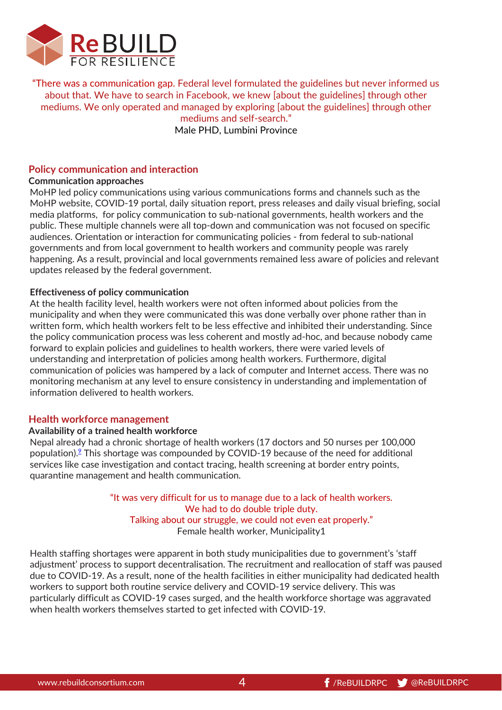

"There was a communication gap. Federal level formulated the guidelines but never informed us about that. We have to search in Facebook, we knew [about the guidelines] through other mediums. We only operated and managed by exploring [about the guidelines] through other mediums and self-search."

Male PHD, Lumbini Province

## **Policy communication and interaction**

#### **Communication approaches**

MoHP led policy communications using various communications forms and channels such as the MoHP website, COVID-19 portal, daily situation report, press releases and daily visual briefing, social media platforms, for policy communication to sub-national governments, health workers and the public. These multiple channels were all top-down and communication was not focused on specific audiences. Orientation or interaction for communicating policies - from federal to sub-national governments and from local government to health workers and community people was rarely happening. As a result, provincial and local governments remained less aware of policies and relevant updates released by the federal government.

#### **Effectiveness of policy communication**

At the health facility level, health workers were not often informed about policies from the municipality and when they were communicated this was done verbally over phone rather than in written form, which health workers felt to be less effective and inhibited their understanding. Since the policy communication process was less coherent and mostly ad-hoc, and because nobody came forward to explain policies and guidelines to health workers, there were varied levels of understanding and interpretation of policies among health workers. Furthermore, digital communication of policies was hampered by a lack of computer and Internet access. There was no monitoring mechanism at any level to ensure consistency in understanding and implementation of information delivered to health workers.

#### **Health workforce management**

#### **Availability of a trained health workforce**

Nepal already had a chronic shortage of health workers (17 doctors and 50 nurses per 100,000 population). $2$  This shortage was compounded by COVID-19 because of the need for additional services like case investigation and contact tracing, health screening at border entry points, quarantine management and health communication.

> "It was very difficult for us to manage due to a lack of health workers. We had to do double triple duty. Talking about our struggle, we could not even eat properly." Female health worker, Municipality1

Health staffing shortages were apparent in both study municipalities due to government's 'staff adjustment' process to support decentralisation. The recruitment and reallocation of staff was paused due to COVID-19. As a result, none of the health facilities in either municipality had dedicated health workers to support both routine service delivery and COVID-19 service delivery. This was particularly difficult as COVID-19 cases surged, and the health workforce shortage was aggravated when health workers themselves started to get infected with COVID-19.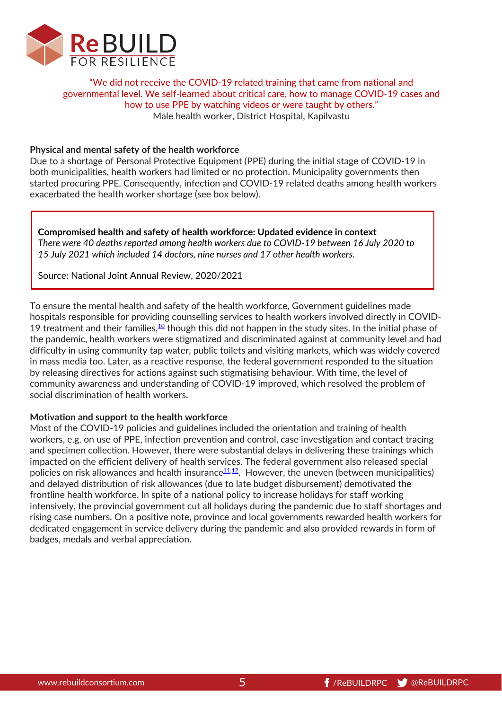

"We did not receive the COVID-19 related training that came from national and governmental level. We self-learned about critical care, how to manage COVID-19 cases and how to use PPE by watching videos or were taught by others." Male health worker, District Hospital, Kapilvastu

#### **Physical and mental safety of the health workforce**

Due to a shortage of Personal Protective Equipment (PPE) during the initial stage of COVID-19 in both municipalities, health workers had limited or no protection. Municipality governments then started procuring PPE. Consequently, infection and COVID-19 related deaths among health workers exacerbated the health worker shortage (see box below).

**Compromised health and safety of health workforce: Updated evidence in context** *There were 40 deaths reported among health workers due to COVID-19 between 16 July 2020 to 15 July 2021 which included 14 doctors, nine nurses and 17 other health workers.* 

Source: National Joint Annual Review, 2020/2021

To ensure the mental health and safety of the health workforce, Government guidelines made hospitals responsible for providing counselling services to health workers involved directly in COVID-19 treatment and their families, $10$  though this did not happen in the study sites. In the initial phase of the pandemic, health workers were stigmatized and discriminated against at community level and had difficulty in using community tap water, public toilets and visiting markets, which was widely covered in mass media too. Later, as a reactive response, the federal government responded to the situation by releasing directives for actions against such stigmatising behaviour. With time, the level of community awareness and understanding of COVID-19 improved, which resolved the problem of social discrimination of health workers.

#### **Motivation and support to the health workforce**

Most of the COVID-19 policies and guidelines included the orientation and training of health workers, e.g. on use of PPE, infection prevention and control, case investigation and contact tracing and specimen collection. However, there were substantial delays in delivering these trainings which impacted on the efficient delivery of health services. The federal government also released special policies on risk allowances and health insurance $\frac{11,12}{1}$ . However, the uneven (between municipalities) and delayed distribution of risk allowances (due to late budget disbursement) demotivated the frontline health workforce. In spite of a national policy to increase holidays for staff working intensively, the provincial government cut all holidays during the pandemic due to staff shortages and rising case numbers. On a positive note, province and local governments rewarded health workers for dedicated engagement in service delivery during the pandemic and also provided rewards in form of badges, medals and verbal appreciation.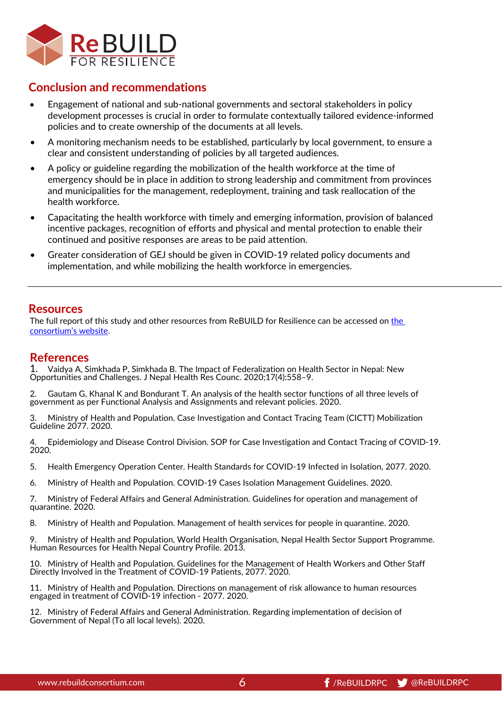

## **Conclusion and recommendations**

- Engagement of national and sub-national governments and sectoral stakeholders in policy development processes is crucial in order to formulate contextually tailored evidence-informed policies and to create ownership of the documents at all levels.
- A monitoring mechanism needs to be established, particularly by local government, to ensure a clear and consistent understanding of policies by all targeted audiences.
- A policy or guideline regarding the mobilization of the health workforce at the time of emergency should be in place in addition to strong leadership and commitment from provinces and municipalities for the management, redeployment, training and task reallocation of the health workforce.
- Capacitating the health workforce with timely and emerging information, provision of balanced incentive packages, recognition of efforts and physical and mental protection to enable their continued and positive responses are areas to be paid attention.
- Greater consideration of GEJ should be given in COVID-19 related policy documents and implementation, and while mobilizing the health workforce in emergencies.

## **Resources**

The full report of this study and other resources from ReBUILD for Resilience can be accessed on [the](https://www.rebuildconsortium.com/resources/understanding-health-system-resilience-to-respond-to-covid-19-in-a-federalised-context/)  [consortium's website.](https://www.rebuildconsortium.com/resources/understanding-health-system-resilience-to-respond-to-covid-19-in-a-federalised-context/) 

## **References**

<span id="page-5-0"></span>1. Vaidya A, Simkhada P, Simkhada B. The Impact of Federalization on Health Sector in Nepal: New Opportunities and Challenges. J Nepal Health Res Counc. 2020;17(4):558–9.

<span id="page-5-1"></span>2. Gautam G, Khanal K and Bondurant T. An analysis of the health sector functions of all three levels of government as per Functional Analysis and Assignments and relevant policies. 2020.

<span id="page-5-2"></span>3. Ministry of Health and Population. Case Investigation and Contact Tracing Team (CICTT) Mobilization Guideline 2077. 2020.

<span id="page-5-3"></span>4. Epidemiology and Disease Control Division. SOP for Case Investigation and Contact Tracing of COVID-19. 2020.

- <span id="page-5-4"></span>5. Health Emergency Operation Center. Health Standards for COVID-19 Infected in Isolation, 2077. 2020.
- <span id="page-5-5"></span>6. Ministry of Health and Population. COVID-19 Cases Isolation Management Guidelines. 2020.

<span id="page-5-6"></span>7. Ministry of Federal Affairs and General Administration. Guidelines for operation and management of quarantine. 2020.

<span id="page-5-7"></span>8. Ministry of Health and Population. Management of health services for people in quarantine. 2020.

<span id="page-5-8"></span>9. Ministry of Health and Population, World Health Organisation, Nepal Health Sector Support Programme. Human Resources for Health Nepal Country Profile. 2013.

<span id="page-5-9"></span>10. Ministry of Health and Population. Guidelines for the Management of Health Workers and Other Staff Directly Involved in the Treatment of COVID-19 Patients, 2077. 2020.

<span id="page-5-10"></span>11. Ministry of Health and Population. Directions on management of risk allowance to human resources engaged in treatment of COVID-19 infection - 2077. 2020.

<span id="page-5-11"></span>12. Ministry of Federal Affairs and General Administration. Regarding implementation of decision of Government of Nepal (To all local levels). 2020.